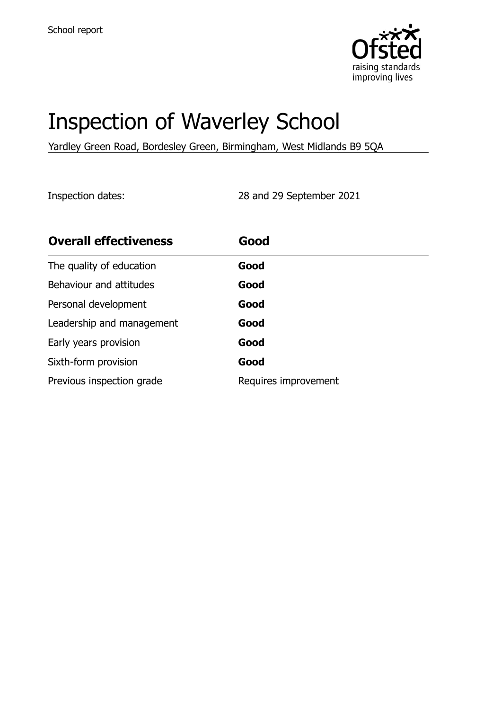

# Inspection of Waverley School

Yardley Green Road, Bordesley Green, Birmingham, West Midlands B9 5QA

Inspection dates: 28 and 29 September 2021

| <b>Overall effectiveness</b> | Good                 |
|------------------------------|----------------------|
| The quality of education     | Good                 |
| Behaviour and attitudes      | Good                 |
| Personal development         | Good                 |
| Leadership and management    | Good                 |
| Early years provision        | Good                 |
| Sixth-form provision         | Good                 |
| Previous inspection grade    | Requires improvement |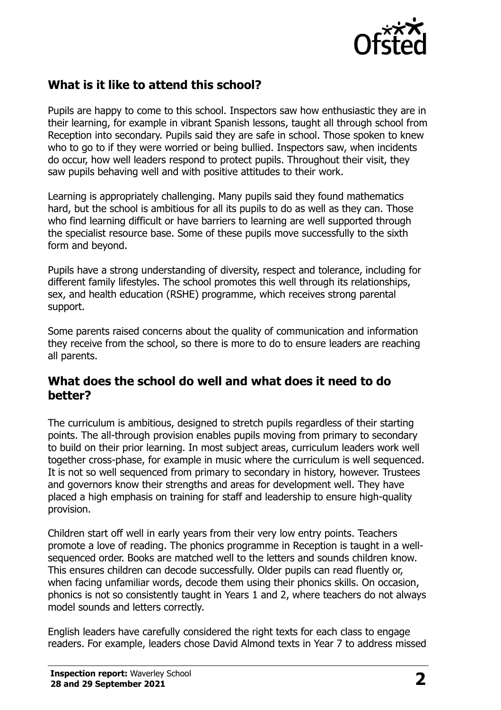

## **What is it like to attend this school?**

Pupils are happy to come to this school. Inspectors saw how enthusiastic they are in their learning, for example in vibrant Spanish lessons, taught all through school from Reception into secondary. Pupils said they are safe in school. Those spoken to knew who to go to if they were worried or being bullied. Inspectors saw, when incidents do occur, how well leaders respond to protect pupils. Throughout their visit, they saw pupils behaving well and with positive attitudes to their work.

Learning is appropriately challenging. Many pupils said they found mathematics hard, but the school is ambitious for all its pupils to do as well as they can. Those who find learning difficult or have barriers to learning are well supported through the specialist resource base. Some of these pupils move successfully to the sixth form and beyond.

Pupils have a strong understanding of diversity, respect and tolerance, including for different family lifestyles. The school promotes this well through its relationships, sex, and health education (RSHE) programme, which receives strong parental support.

Some parents raised concerns about the quality of communication and information they receive from the school, so there is more to do to ensure leaders are reaching all parents.

#### **What does the school do well and what does it need to do better?**

The curriculum is ambitious, designed to stretch pupils regardless of their starting points. The all-through provision enables pupils moving from primary to secondary to build on their prior learning. In most subject areas, curriculum leaders work well together cross-phase, for example in music where the curriculum is well sequenced. It is not so well sequenced from primary to secondary in history, however. Trustees and governors know their strengths and areas for development well. They have placed a high emphasis on training for staff and leadership to ensure high-quality provision.

Children start off well in early years from their very low entry points. Teachers promote a love of reading. The phonics programme in Reception is taught in a wellsequenced order. Books are matched well to the letters and sounds children know. This ensures children can decode successfully. Older pupils can read fluently or, when facing unfamiliar words, decode them using their phonics skills. On occasion, phonics is not so consistently taught in Years 1 and 2, where teachers do not always model sounds and letters correctly.

English leaders have carefully considered the right texts for each class to engage readers. For example, leaders chose David Almond texts in Year 7 to address missed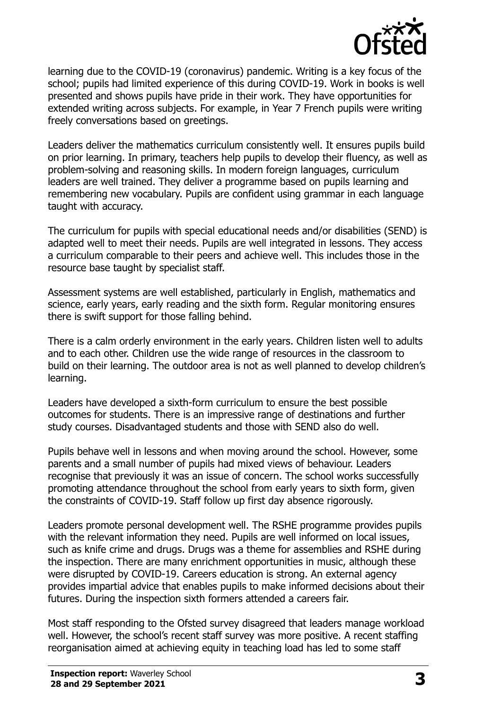

learning due to the COVID-19 (coronavirus) pandemic. Writing is a key focus of the school; pupils had limited experience of this during COVID-19. Work in books is well presented and shows pupils have pride in their work. They have opportunities for extended writing across subjects. For example, in Year 7 French pupils were writing freely conversations based on greetings.

Leaders deliver the mathematics curriculum consistently well. It ensures pupils build on prior learning. In primary, teachers help pupils to develop their fluency, as well as problem-solving and reasoning skills. In modern foreign languages, curriculum leaders are well trained. They deliver a programme based on pupils learning and remembering new vocabulary. Pupils are confident using grammar in each language taught with accuracy.

The curriculum for pupils with special educational needs and/or disabilities (SEND) is adapted well to meet their needs. Pupils are well integrated in lessons. They access a curriculum comparable to their peers and achieve well. This includes those in the resource base taught by specialist staff.

Assessment systems are well established, particularly in English, mathematics and science, early years, early reading and the sixth form. Regular monitoring ensures there is swift support for those falling behind.

There is a calm orderly environment in the early years. Children listen well to adults and to each other. Children use the wide range of resources in the classroom to build on their learning. The outdoor area is not as well planned to develop children's learning.

Leaders have developed a sixth-form curriculum to ensure the best possible outcomes for students. There is an impressive range of destinations and further study courses. Disadvantaged students and those with SEND also do well.

Pupils behave well in lessons and when moving around the school. However, some parents and a small number of pupils had mixed views of behaviour. Leaders recognise that previously it was an issue of concern. The school works successfully promoting attendance throughout the school from early years to sixth form, given the constraints of COVID-19. Staff follow up first day absence rigorously.

Leaders promote personal development well. The RSHE programme provides pupils with the relevant information they need. Pupils are well informed on local issues, such as knife crime and drugs. Drugs was a theme for assemblies and RSHE during the inspection. There are many enrichment opportunities in music, although these were disrupted by COVID-19. Careers education is strong. An external agency provides impartial advice that enables pupils to make informed decisions about their futures. During the inspection sixth formers attended a careers fair.

Most staff responding to the Ofsted survey disagreed that leaders manage workload well. However, the school's recent staff survey was more positive. A recent staffing reorganisation aimed at achieving equity in teaching load has led to some staff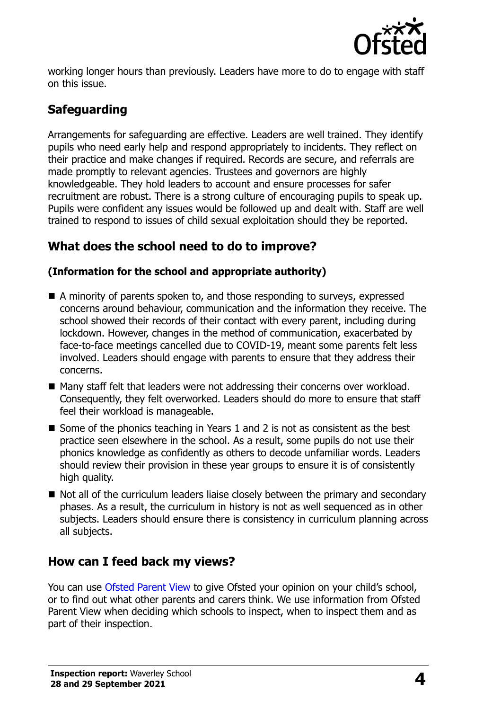

working longer hours than previously. Leaders have more to do to engage with staff on this issue.

## **Safeguarding**

Arrangements for safeguarding are effective. Leaders are well trained. They identify pupils who need early help and respond appropriately to incidents. They reflect on their practice and make changes if required. Records are secure, and referrals are made promptly to relevant agencies. Trustees and governors are highly knowledgeable. They hold leaders to account and ensure processes for safer recruitment are robust. There is a strong culture of encouraging pupils to speak up. Pupils were confident any issues would be followed up and dealt with. Staff are well trained to respond to issues of child sexual exploitation should they be reported.

## **What does the school need to do to improve?**

#### **(Information for the school and appropriate authority)**

- A minority of parents spoken to, and those responding to surveys, expressed concerns around behaviour, communication and the information they receive. The school showed their records of their contact with every parent, including during lockdown. However, changes in the method of communication, exacerbated by face-to-face meetings cancelled due to COVID-19, meant some parents felt less involved. Leaders should engage with parents to ensure that they address their concerns.
- Many staff felt that leaders were not addressing their concerns over workload. Consequently, they felt overworked. Leaders should do more to ensure that staff feel their workload is manageable.
- Some of the phonics teaching in Years 1 and 2 is not as consistent as the best practice seen elsewhere in the school. As a result, some pupils do not use their phonics knowledge as confidently as others to decode unfamiliar words. Leaders should review their provision in these year groups to ensure it is of consistently high quality.
- $\blacksquare$  Not all of the curriculum leaders liaise closely between the primary and secondary phases. As a result, the curriculum in history is not as well sequenced as in other subjects. Leaders should ensure there is consistency in curriculum planning across all subjects.

## **How can I feed back my views?**

You can use [Ofsted Parent View](http://parentview.ofsted.gov.uk/) to give Ofsted your opinion on your child's school, or to find out what other parents and carers think. We use information from Ofsted Parent View when deciding which schools to inspect, when to inspect them and as part of their inspection.

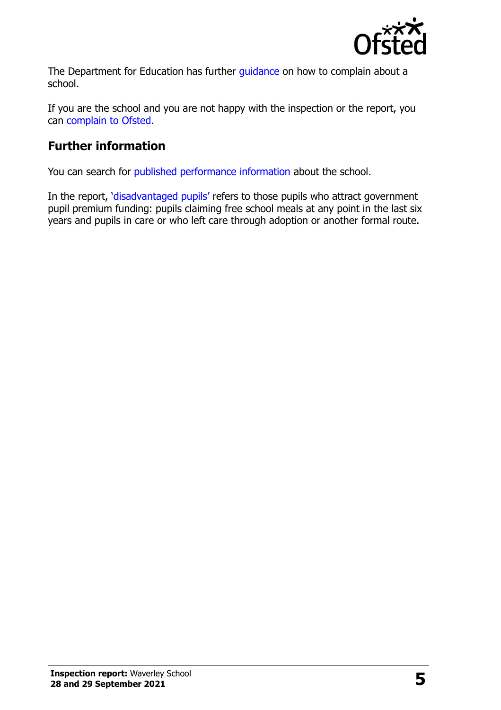

The Department for Education has further quidance on how to complain about a school.

If you are the school and you are not happy with the inspection or the report, you can [complain to Ofsted.](http://www.gov.uk/complain-ofsted-report)

## **Further information**

You can search for [published performance information](http://www.compare-school-performance.service.gov.uk/) about the school.

In the report, '[disadvantaged pupils](http://www.gov.uk/guidance/pupil-premium-information-for-schools-and-alternative-provision-settings)' refers to those pupils who attract government pupil premium funding: pupils claiming free school meals at any point in the last six years and pupils in care or who left care through adoption or another formal route.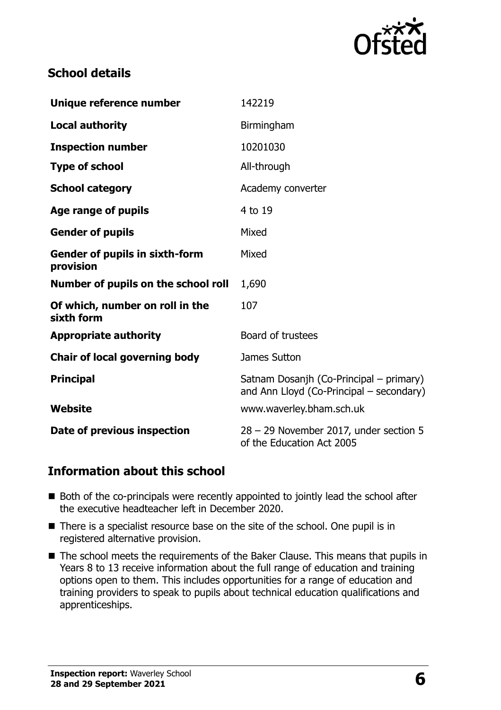

## **School details**

| Unique reference number                            | 142219                                                                              |  |
|----------------------------------------------------|-------------------------------------------------------------------------------------|--|
| <b>Local authority</b>                             | Birmingham                                                                          |  |
| <b>Inspection number</b>                           | 10201030                                                                            |  |
| <b>Type of school</b>                              | All-through                                                                         |  |
| <b>School category</b>                             | Academy converter                                                                   |  |
| Age range of pupils                                | 4 to 19                                                                             |  |
| <b>Gender of pupils</b>                            | Mixed                                                                               |  |
| <b>Gender of pupils in sixth-form</b><br>provision | Mixed                                                                               |  |
| Number of pupils on the school roll                | 1,690                                                                               |  |
| Of which, number on roll in the<br>sixth form      | 107                                                                                 |  |
| <b>Appropriate authority</b>                       | Board of trustees                                                                   |  |
| <b>Chair of local governing body</b>               | James Sutton                                                                        |  |
| <b>Principal</b>                                   | Satnam Dosanjh (Co-Principal – primary)<br>and Ann Lloyd (Co-Principal – secondary) |  |
| <b>Website</b>                                     | www.waverley.bham.sch.uk                                                            |  |
| Date of previous inspection                        | 28 - 29 November 2017, under section 5<br>of the Education Act 2005                 |  |

#### **Information about this school**

- Both of the co-principals were recently appointed to jointly lead the school after the executive headteacher left in December 2020.
- There is a specialist resource base on the site of the school. One pupil is in registered alternative provision.
- The school meets the requirements of the Baker Clause. This means that pupils in Years 8 to 13 receive information about the full range of education and training options open to them. This includes opportunities for a range of education and training providers to speak to pupils about technical education qualifications and apprenticeships.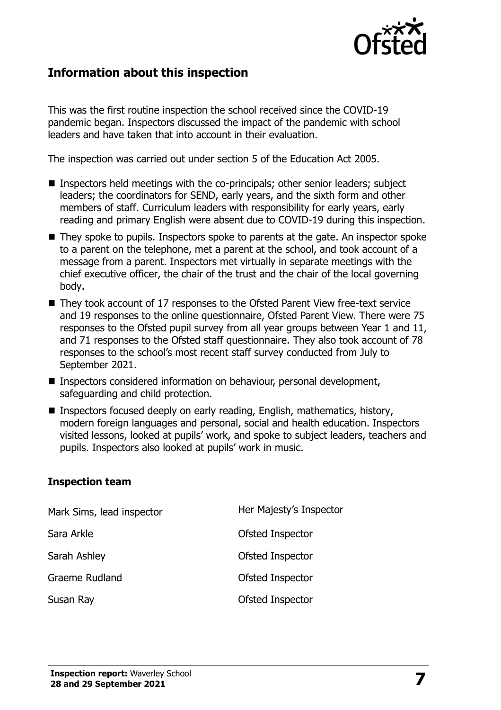

### **Information about this inspection**

This was the first routine inspection the school received since the COVID-19 pandemic began. Inspectors discussed the impact of the pandemic with school leaders and have taken that into account in their evaluation.

The inspection was carried out under section 5 of the Education Act 2005.

- Inspectors held meetings with the co-principals; other senior leaders; subject leaders; the coordinators for SEND, early years, and the sixth form and other members of staff. Curriculum leaders with responsibility for early years, early reading and primary English were absent due to COVID-19 during this inspection.
- They spoke to pupils. Inspectors spoke to parents at the gate. An inspector spoke to a parent on the telephone, met a parent at the school, and took account of a message from a parent. Inspectors met virtually in separate meetings with the chief executive officer, the chair of the trust and the chair of the local governing body.
- They took account of 17 responses to the Ofsted Parent View free-text service and 19 responses to the online questionnaire, Ofsted Parent View. There were 75 responses to the Ofsted pupil survey from all year groups between Year 1 and 11, and 71 responses to the Ofsted staff questionnaire. They also took account of 78 responses to the school's most recent staff survey conducted from July to September 2021.
- Inspectors considered information on behaviour, personal development, safeguarding and child protection.
- Inspectors focused deeply on early reading, English, mathematics, history, modern foreign languages and personal, social and health education. Inspectors visited lessons, looked at pupils' work, and spoke to subject leaders, teachers and pupils. Inspectors also looked at pupils' work in music.

#### **Inspection team**

| Mark Sims, lead inspector | Her Majesty's Inspector |
|---------------------------|-------------------------|
| Sara Arkle                | Ofsted Inspector        |
| Sarah Ashley              | Ofsted Inspector        |
| <b>Graeme Rudland</b>     | Ofsted Inspector        |
| Susan Ray                 | Ofsted Inspector        |